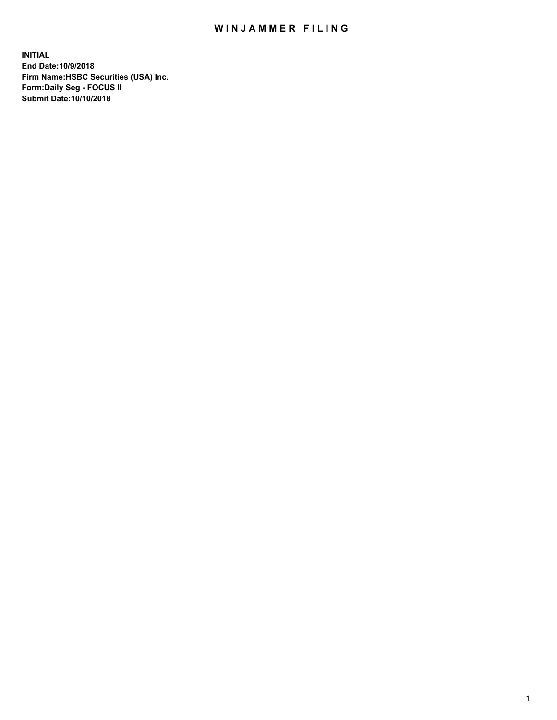## WIN JAMMER FILING

**INITIAL End Date:10/9/2018 Firm Name:HSBC Securities (USA) Inc. Form:Daily Seg - FOCUS II Submit Date:10/10/2018**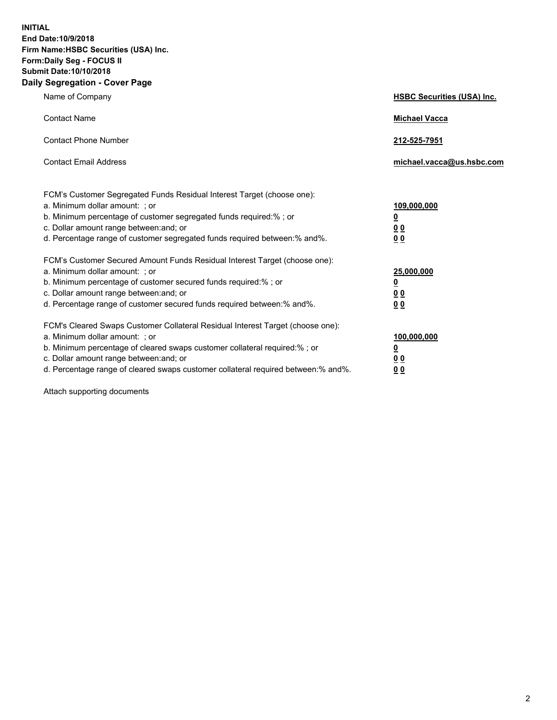**INITIAL End Date:10/9/2018 Firm Name:HSBC Securities (USA) Inc. Form:Daily Seg - FOCUS II Submit Date:10/10/2018 Daily Segregation - Cover Page**

| Name of Company                                                                                                                                                                                                                                                                                                                | <b>HSBC Securities (USA) Inc.</b>                                          |
|--------------------------------------------------------------------------------------------------------------------------------------------------------------------------------------------------------------------------------------------------------------------------------------------------------------------------------|----------------------------------------------------------------------------|
| <b>Contact Name</b>                                                                                                                                                                                                                                                                                                            | <b>Michael Vacca</b>                                                       |
| <b>Contact Phone Number</b>                                                                                                                                                                                                                                                                                                    | 212-525-7951                                                               |
| <b>Contact Email Address</b>                                                                                                                                                                                                                                                                                                   | michael.vacca@us.hsbc.com                                                  |
| FCM's Customer Segregated Funds Residual Interest Target (choose one):<br>a. Minimum dollar amount: : or<br>b. Minimum percentage of customer segregated funds required:% ; or<br>c. Dollar amount range between: and; or<br>d. Percentage range of customer segregated funds required between:% and%.                         | 109,000,000<br>$\overline{\mathbf{0}}$<br>0 <sub>0</sub><br>0 <sub>0</sub> |
| FCM's Customer Secured Amount Funds Residual Interest Target (choose one):<br>a. Minimum dollar amount: ; or<br>b. Minimum percentage of customer secured funds required:%; or<br>c. Dollar amount range between: and; or<br>d. Percentage range of customer secured funds required between:% and%.                            | 25,000,000<br>$\overline{\mathbf{0}}$<br>0 <sub>0</sub><br>0 <sub>0</sub>  |
| FCM's Cleared Swaps Customer Collateral Residual Interest Target (choose one):<br>a. Minimum dollar amount: ; or<br>b. Minimum percentage of cleared swaps customer collateral required:% ; or<br>c. Dollar amount range between: and; or<br>d. Percentage range of cleared swaps customer collateral required between:% and%. | 100,000,000<br>$\overline{\mathbf{0}}$<br>0 <sub>0</sub><br>0 <sub>0</sub> |

Attach supporting documents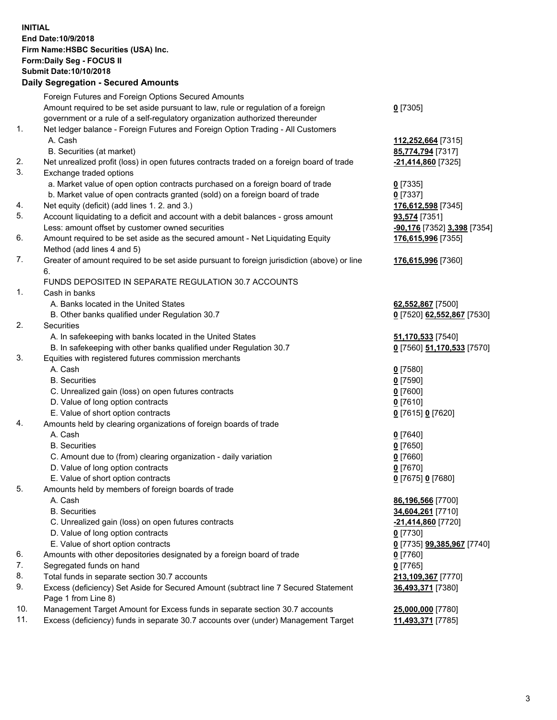**INITIAL End Date:10/9/2018 Firm Name:HSBC Securities (USA) Inc. Form:Daily Seg - FOCUS II Submit Date:10/10/2018 Daily Segregation - Secured Amounts**

|     | Daily Jegiegation - Jeculeu Alliounts                                                       |                             |
|-----|---------------------------------------------------------------------------------------------|-----------------------------|
|     | Foreign Futures and Foreign Options Secured Amounts                                         |                             |
|     | Amount required to be set aside pursuant to law, rule or regulation of a foreign            | $0$ [7305]                  |
|     | government or a rule of a self-regulatory organization authorized thereunder                |                             |
| 1.  | Net ledger balance - Foreign Futures and Foreign Option Trading - All Customers             |                             |
|     | A. Cash                                                                                     | 112,252,664 [7315]          |
|     | B. Securities (at market)                                                                   | 85,774,794 [7317]           |
| 2.  | Net unrealized profit (loss) in open futures contracts traded on a foreign board of trade   | -21,414,860 [7325]          |
| 3.  | Exchange traded options                                                                     |                             |
|     | a. Market value of open option contracts purchased on a foreign board of trade              | $0$ [7335]                  |
|     | b. Market value of open contracts granted (sold) on a foreign board of trade                | $0$ [7337]                  |
| 4.  | Net equity (deficit) (add lines 1.2. and 3.)                                                | 176,612,598 [7345]          |
| 5.  | Account liquidating to a deficit and account with a debit balances - gross amount           | 93,574 [7351]               |
|     | Less: amount offset by customer owned securities                                            | -90,176 [7352] 3,398 [7354] |
| 6.  | Amount required to be set aside as the secured amount - Net Liquidating Equity              | 176,615,996 [7355]          |
|     | Method (add lines 4 and 5)                                                                  |                             |
| 7.  | Greater of amount required to be set aside pursuant to foreign jurisdiction (above) or line | 176,615,996 [7360]          |
|     | 6.<br>FUNDS DEPOSITED IN SEPARATE REGULATION 30.7 ACCOUNTS                                  |                             |
| 1.  | Cash in banks                                                                               |                             |
|     | A. Banks located in the United States                                                       | 62,552,867 [7500]           |
|     | B. Other banks qualified under Regulation 30.7                                              | 0 [7520] 62,552,867 [7530]  |
| 2.  | Securities                                                                                  |                             |
|     | A. In safekeeping with banks located in the United States                                   | 51,170,533 [7540]           |
|     | B. In safekeeping with other banks qualified under Regulation 30.7                          | 0 [7560] 51,170,533 [7570]  |
| 3.  | Equities with registered futures commission merchants                                       |                             |
|     | A. Cash                                                                                     | $0$ [7580]                  |
|     | <b>B.</b> Securities                                                                        | $0$ [7590]                  |
|     | C. Unrealized gain (loss) on open futures contracts                                         | $0$ [7600]                  |
|     | D. Value of long option contracts                                                           | $0$ [7610]                  |
|     | E. Value of short option contracts                                                          | 0 [7615] 0 [7620]           |
| 4.  | Amounts held by clearing organizations of foreign boards of trade                           |                             |
|     | A. Cash                                                                                     | $0$ [7640]                  |
|     | <b>B.</b> Securities                                                                        | $0$ [7650]                  |
|     | C. Amount due to (from) clearing organization - daily variation                             | $0$ [7660]                  |
|     | D. Value of long option contracts                                                           | $0$ [7670]                  |
|     | E. Value of short option contracts                                                          | 0 [7675] 0 [7680]           |
| 5.  | Amounts held by members of foreign boards of trade                                          |                             |
|     | A. Cash                                                                                     | 86,196,566 [7700]           |
|     | <b>B.</b> Securities                                                                        | 34,604,261 [7710]           |
|     | C. Unrealized gain (loss) on open futures contracts                                         | -21,414,860 [7720]          |
|     | D. Value of long option contracts                                                           | $0$ [7730]                  |
|     | E. Value of short option contracts                                                          | 0 [7735] 99,385,967 [7740]  |
| 6.  | Amounts with other depositories designated by a foreign board of trade                      | 0 [7760]                    |
| 7.  | Segregated funds on hand                                                                    | $0$ [7765]                  |
| 8.  | Total funds in separate section 30.7 accounts                                               | 213,109,367 [7770]          |
| 9.  | Excess (deficiency) Set Aside for Secured Amount (subtract line 7 Secured Statement         | 36,493,371 [7380]           |
|     | Page 1 from Line 8)                                                                         |                             |
| 10. | Management Target Amount for Excess funds in separate section 30.7 accounts                 | 25,000,000 [7780]           |
| 11. | Excess (deficiency) funds in separate 30.7 accounts over (under) Management Target          | 11,493,371 [7785]           |
|     |                                                                                             |                             |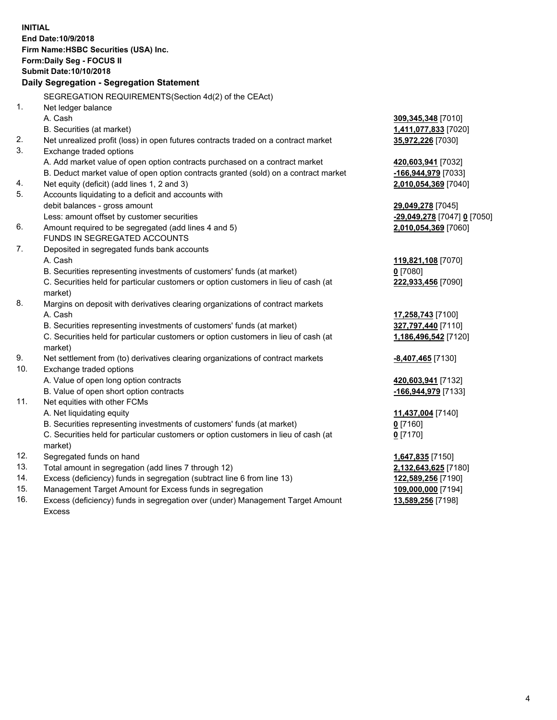**INITIAL End Date:10/9/2018 Firm Name:HSBC Securities (USA) Inc. Form:Daily Seg - FOCUS II Submit Date:10/10/2018 Daily Segregation - Segregation Statement** SEGREGATION REQUIREMENTS(Section 4d(2) of the CEAct) 1. Net ledger balance A. Cash **309,345,348** [7010] B. Securities (at market) **1,411,077,833** [7020] 2. Net unrealized profit (loss) in open futures contracts traded on a contract market **35,972,226** [7030] 3. Exchange traded options A. Add market value of open option contracts purchased on a contract market **420,603,941** [7032] B. Deduct market value of open option contracts granted (sold) on a contract market **-166,944,979** [7033] 4. Net equity (deficit) (add lines 1, 2 and 3) **2,010,054,369** [7040] 5. Accounts liquidating to a deficit and accounts with debit balances - gross amount **29,049,278** [7045] Less: amount offset by customer securities **-29,049,278** [7047] **0** [7050] 6. Amount required to be segregated (add lines 4 and 5) **2,010,054,369** [7060] FUNDS IN SEGREGATED ACCOUNTS 7. Deposited in segregated funds bank accounts A. Cash **119,821,108** [7070] B. Securities representing investments of customers' funds (at market) **0** [7080] C. Securities held for particular customers or option customers in lieu of cash (at market) **222,933,456** [7090] 8. Margins on deposit with derivatives clearing organizations of contract markets A. Cash **17,258,743** [7100] B. Securities representing investments of customers' funds (at market) **327,797,440** [7110] C. Securities held for particular customers or option customers in lieu of cash (at market) **1,186,496,542** [7120] 9. Net settlement from (to) derivatives clearing organizations of contract markets **-8,407,465** [7130] 10. Exchange traded options A. Value of open long option contracts **420,603,941** [7132] B. Value of open short option contracts **-166,944,979** [7133] 11. Net equities with other FCMs A. Net liquidating equity **11,437,004** [7140] B. Securities representing investments of customers' funds (at market) **0** [7160] C. Securities held for particular customers or option customers in lieu of cash (at market) **0** [7170] 12. Segregated funds on hand **1,647,835** [7150] 13. Total amount in segregation (add lines 7 through 12) **2,132,643,625** [7180] 14. Excess (deficiency) funds in segregation (subtract line 6 from line 13) **122,589,256** [7190] 15. Management Target Amount for Excess funds in segregation **109,000,000** [7194] 16. Excess (deficiency) funds in segregation over (under) Management Target Amount **13,589,256** [7198]

Excess

4